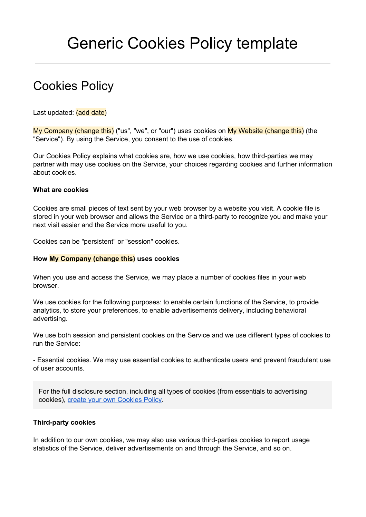# Generic Cookies Policy template

# Cookies Policy

Last updated: (add date)

My Company (change this) ("us", "we", or "our") uses cookies on My Website (change this) (the "Service"). By using the Service, you consent to the use of cookies.

Our Cookies Policy explains what cookies are, how we use cookies, how third-parties we may partner with may use cookies on the Service, your choices regarding cookies and further information about cookies.

## **What are cookies**

Cookies are small pieces of text sent by your web browser by a website you visit. A cookie file is stored in your web browser and allows the Service or a third-party to recognize you and make your next visit easier and the Service more useful to you.

Cookies can be "persistent" or "session" cookies.

#### **How My Company (change this)uses cookies**

When you use and access the Service, we may place a number of cookies files in your web browser.

We use cookies for the following purposes: to enable certain functions of the Service, to provide analytics, to store your preferences, to enable advertisements delivery, including behavioral advertising.

We use both session and persistent cookies on the Service and we use different types of cookies to run the Service:

 Essential cookies. We may use essential cookies to authenticate users and prevent fraudulent use of user accounts.

For the full disclosure section, including all types of cookies (from essentials to advertising cookies), create your own [Cookies](https://termsfeed.com/cookies-policy/generator/?utm_source=Generic&utm_medium=PDF&utm_campaign=Cookies+Policy+Templates&utm_nooverride=1) Policy.

## **Third-party cookies**

In addition to our own cookies, we may also use various third-parties cookies to report usage statistics of the Service, deliver advertisements on and through the Service, and so on.